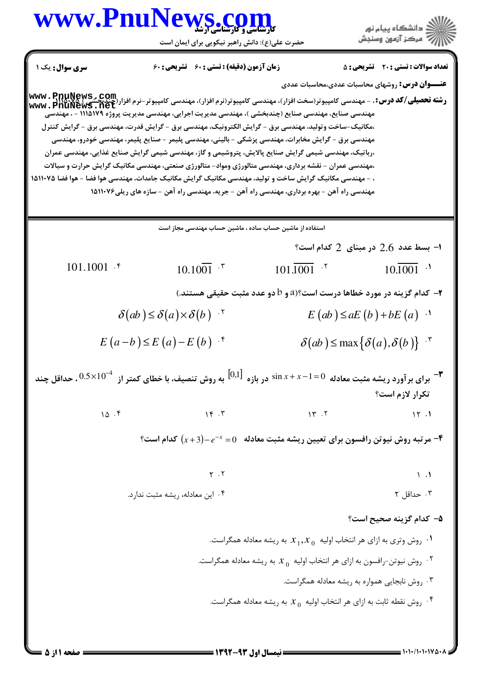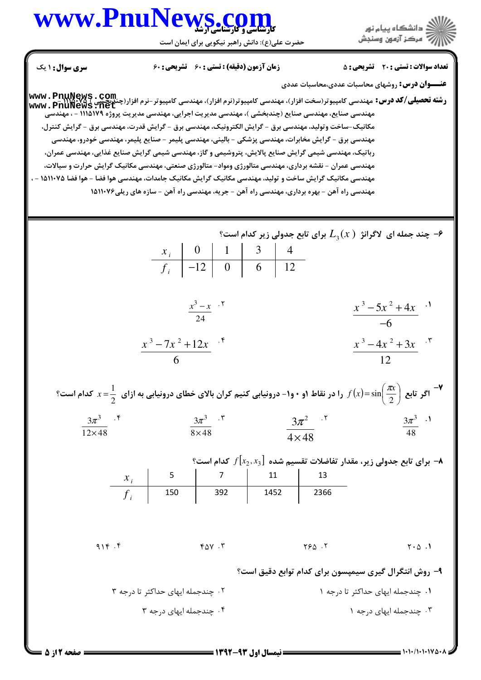## www.PnuNews.co

حضرت علی(ع): دانش راهبر نیکویی برای ایمان است



**تعداد سوالات : تستي : 20 - تشريحي : 5** 

**عنـــوان درس:** روشهای محاسبات عددی،محاسبات عددی

**زمان آزمون (دقیقه) : تستی : 60 تشریحی: 60** 

**سری سوال : ۱ یک** 

<u>لديجسي (www.pnukews</u>.net مهندسی صنایع، مهندسی صنایع (چندبخشی )، مهندسی مدیریت اجرایی، مهندسی مدیریت پروژه ۱۱۱۵۱۷۹ – ، مهندسی مکانیک-ساخت و تولید، مهندسی برق - گرایش الکترونیک، مهندسی برق - گرایش قدرت، مهندسی برق - گرایش کنترل، مهندسی برق - گرایش مخابرات، مهندسی پزشکی - بالینی، مهندسی پلیمر - صنایع پلیمر، مهندسی خودرو، مهندسی رباتیک، مهندسی شیمی گرایش صنایع پالایش، پتروشیمی و گاز، مهندسی شیمی گرایش صنایع غذایی، مهندسی عمران، مهندسی عمران – نقشه برداری، مهندسی متالورژی ومواد- متالورژی صنعتی، مهندسی مکانیک گرایش حرارت و سیالات، مهندسی مکانیک گرایش ساخت و تولید، مهندسی مکانیک گرایش مکانیک جامدات، مهندسی هوا فضا – هوا فضا ۱۵۱۱۰۷۵ – ، مهندسی راه آهن - بهره برداری، مهندسی راه آهن - جریه، مهندسی راه آهن - سازه های ریلی۱۵۱۱۰۷۶ %- چند جمله ای لاگرانژ  $L_{\rm a}(x)$  برای تابع جدولی زیر کدام است $\cdot$  $\begin{array}{c|c|c|c|c|c|c|c|c} x_i & 0 & 1 & 3 & 4 \ \hline f_i & -12 & 0 & 6 & 12 \end{array}$ 

> $\frac{x^3-5x^2+4x}{6}$ .  $\frac{x^3-x}{24}$ .  $\frac{x^3 - 7x^2 + 12x}{6}$  $\frac{x^3-4x^2+3x}{12}$

|                               |                                         |                             | وا در نقاط ۱و ۰ و۱- درونیابی کنیم کران بالای خطای درونیابی به ازای $x=\frac{1}{2}$ کدام است $f(x)$ اگر تابع $\frac{1}{2}$ کدام است $f(x)=\sin\left(\frac{\pi x}{2}\right)$ |                  |  |
|-------------------------------|-----------------------------------------|-----------------------------|----------------------------------------------------------------------------------------------------------------------------------------------------------------------------|------------------|--|
| $3\pi^3$ . F<br>$12\times 48$ | $3\pi^3$ . $\mathbf{r}$<br>$8\times 48$ | $3\pi^2$ .<br>$4 \times 48$ |                                                                                                                                                                            | $3\pi^3$ .<br>48 |  |

ه برای تابع جدولی زیر، مقدار تفاضلات تقسیم شده  $f[x_2,x_3]$  کدام است؟ →  $\begin{array}{|c|c|}\n\hline\n&7 \\
\hline\n392\n\end{array}$ 11 13  $\frac{x_i}{f}$  $\frac{1452}{ }$ 2366

 $916.5$  $Y \wedge V$ .  $YSA.7$  $Y \cdot \Delta$ .

۹- روش انتگرال گیری سیمپسون برای کدام توابع دقیق است؟

۲. چندجمله ایهای حداکثر تا درجه ۳ ۰۱ چندجمله ایهای حداکثر تا درجه ۱ ۰۴ چندجمله ایهای درجه ۳ ۰۳ چندجمله ایهای درجه ۱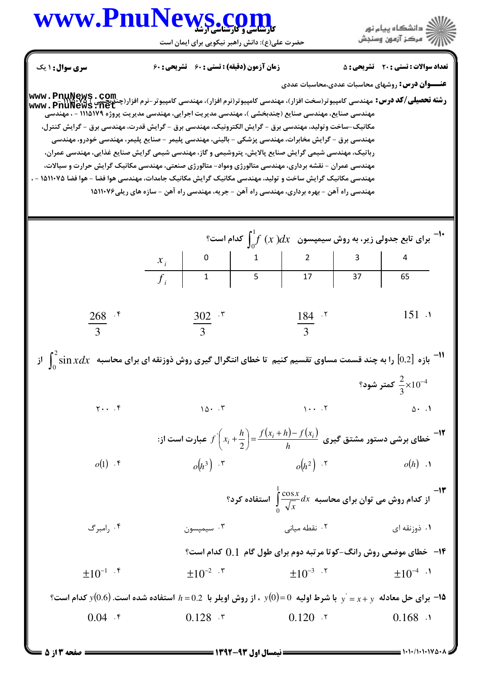## www.PnuNews.com

حضرت علی(ع): دانش راهبر نیکویی برای ایمان است

**www . PnuNews . Com.**<br>و**شته تحصیلی/کد درس:** مهندسی کامپیوتر(سخت افزار)، مهندسی کامپیوتر(نرم افزار)، مهندسی کامپیوتر-نرم افزار(چندیحشی )<br>www . PnuNews . net

ر<br>کاران دانشگاه پیام نور<br>۱۳۸۸ - مرکز آزمون وسنجش

**تعداد سوالات : تستی : 20 - تشریحی : 5** 

**عنـــوان درس:** روشهای محاسبات عددی،محاسبات عددی

زمان آزمون (دقیقه) : تستی : ۶۰٪ تشریحی : ۶۰

مهندسی صنایع، مهندسی صنایع (چندبخشی )، مهندسی مدیریت اجرایی، مهندسی مدیریت پروژه ۱۱۱۵۱۷۹ – ، مهندسی

سری سوال: ۱ یک

| مکانیک-ساخت وتولید، مهندسی برق - گرایش الکترونیک، مهندسی برق - گرایش قدرت، مهندسی برق - گرایش کنترل،                       | مهندسی برق - گرایش مخابرات، مهندسی پزشکی - بالینی، مهندسی پلیمر - صنایع پلیمر، مهندسی خودرو، مهندسی<br>رباتیک، مهندسی شیمی گرایش صنایع پالایش، پتروشیمی و گاز، مهندسی شیمی گرایش صنایع غذایی، مهندسی عمران،<br>مهندسی عمران - نقشه برداری، مهندسی متالورژی ومواد- متالورژی صنعتی، مهندسی مکانیک گرایش حرارت و سیالات، |  |                              |  |                                                                                   |  |  |  |  |
|----------------------------------------------------------------------------------------------------------------------------|-----------------------------------------------------------------------------------------------------------------------------------------------------------------------------------------------------------------------------------------------------------------------------------------------------------------------|--|------------------------------|--|-----------------------------------------------------------------------------------|--|--|--|--|
| مهندسی مکانیک گرایش ساخت و تولید، مهندسی مکانیک گرایش مکانیک جامدات، مهندسی هوا فضا - هوا فضا ۱۵۱۱۰۷۵                      | مهندسی راه آهن - بهره برداری، مهندسی راه آهن - جریه، مهندسی راه آهن - سازه های ریلی۱۵۱۱۰۷۶                                                                                                                                                                                                                            |  |                              |  |                                                                                   |  |  |  |  |
|                                                                                                                            | -1- برای تابع جدولی زیر، به روش سیمپسون $\int_{0}^{1} f(x) dx$ کدام است؟<br>$\begin{array}{c c c c} x_{i} & 0 & 1 & 2 & 3 & 4 \ \hline f_{i} & 1 & 5 & 17 & 37 & 65 \end{array}$                                                                                                                                      |  |                              |  |                                                                                   |  |  |  |  |
|                                                                                                                            |                                                                                                                                                                                                                                                                                                                       |  |                              |  |                                                                                   |  |  |  |  |
|                                                                                                                            |                                                                                                                                                                                                                                                                                                                       |  |                              |  |                                                                                   |  |  |  |  |
| $\frac{268}{3}$ .*                                                                                                         | $\frac{302}{3}$ . *                                                                                                                                                                                                                                                                                                   |  | $rac{184}{3}$ . <sup>5</sup> |  | 151.1                                                                             |  |  |  |  |
| از $[0,2]$ را به چند قسمت مساوی تقسیم کنیم  تا خطای انتگرال گیری روش ذوزنقه ای برای محاسبه $\int_0^z \sin x dx$ از $[0,2]$ |                                                                                                                                                                                                                                                                                                                       |  |                              |  |                                                                                   |  |  |  |  |
|                                                                                                                            |                                                                                                                                                                                                                                                                                                                       |  |                              |  | كمتر شود؟ $\frac{2}{3} \times 10^{-4}$                                            |  |  |  |  |
| $Y \cdot \cdot \cdot$                                                                                                      | $10 \cdot 7$                                                                                                                                                                                                                                                                                                          |  | $\cdots$                     |  | $\Delta$ . 1                                                                      |  |  |  |  |
|                                                                                                                            | -۱۲ خطای برشی دستور مشتق گیری $\displaystyle{f^{\cdot \cdot} \Big(x_i + \frac{h}{2}\Big) = \frac{f\big(x_i + h\big) - f\big(x_i\big)}{h}}$ عبارت است از $\displaystyle{f^{\cdot \cdot} \Big(x_i + \frac{h}{2}\Big) = \frac{f^{\cdot \cdot} \big(x_i + h\big) - f\big(x_i\big)}{h}}$                                   |  |                              |  |                                                                                   |  |  |  |  |
| $o(1)$ . $\mathfrak{r}$                                                                                                    | $o(h^3)$ . $\mathbf{r}$                                                                                                                                                                                                                                                                                               |  | $o(h^2)$ . T                 |  | $o(h)$ .                                                                          |  |  |  |  |
|                                                                                                                            |                                                                                                                                                                                                                                                                                                                       |  |                              |  | -۱۳<br>از کدام روش می توان برای محاسبه $d x \frac{\cos x}{\sqrt{x}}$ استفاده کرد؟ |  |  |  |  |
| ۰۴ رامبرگ                                                                                                                  | ۰۳ سیمپسون                                                                                                                                                                                                                                                                                                            |  | ۰۲ نقطه میان <sub>ی</sub>    |  | ۰۱ ذوزنقه ای                                                                      |  |  |  |  |
|                                                                                                                            |                                                                                                                                                                                                                                                                                                                       |  |                              |  | <b>۱۴ - خطای موضعی روش رانگ-کوتا مرتبه دوم برای طول گام ۔ ( ) کدام است؟</b>       |  |  |  |  |
| $\pm 10^{-1}$ . $\mathfrak{r}$                                                                                             | $\pm 10^{-2}$ $\cdot$ $\cdot$                                                                                                                                                                                                                                                                                         |  | $\pm 10^{-3}$ . $\sqrt{ }$   |  | $\pm 10^{-4}$ ·                                                                   |  |  |  |  |
|                                                                                                                            | ا برای حل معادله $y^{\prime}=x+y^{\prime}$ با شرط اولیه $y(0)=0$ ، از روش اویلر با $0.2$ استفاده شده است. $y(0.6)$ کدام است $^{\circ}$                                                                                                                                                                                |  |                              |  |                                                                                   |  |  |  |  |
| $0.04$ . $\zeta$                                                                                                           | $0.128$ $\cdot$                                                                                                                                                                                                                                                                                                       |  | $0.120$ $.7$                 |  | $0.168$ .                                                                         |  |  |  |  |
| <b>= صفحه 3 از 5 =</b>                                                                                                     | <b>ــــــــــــــ نیمسال اول ۹۳-۱۳۹۲ ــــــــــــــ</b>                                                                                                                                                                                                                                                               |  |                              |  |                                                                                   |  |  |  |  |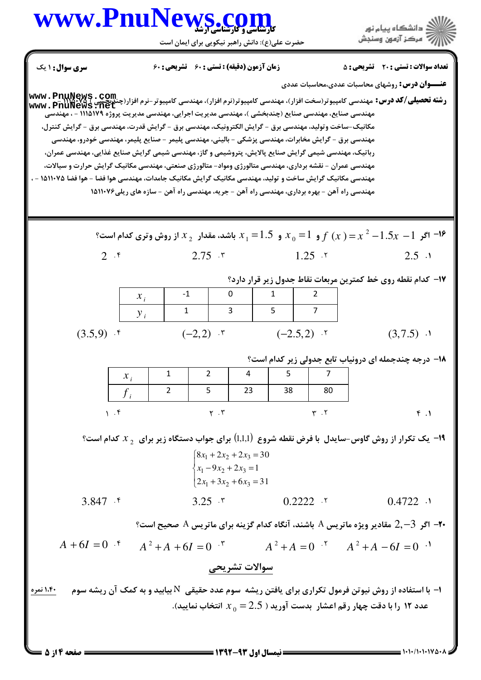

صفحه ۱۴ز ۵ =

 $= 1.1.11.11184.1$